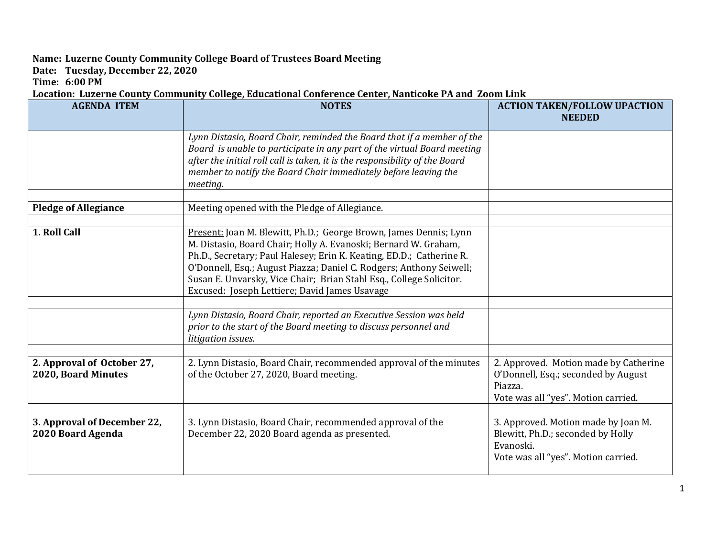## **Name: Luzerne County Community College Board of Trustees Board Meeting**

**Date: Tuesday, December 22, 2020**

**Time: 6:00 PM**

## **Location: Luzerne County Community College, Educational Conference Center, Nanticoke PA and Zoom Link**

| <b>AGENDA ITEM</b>                                | <b>NOTES</b>                                                                                                                                                                                                                                                                                                                                                                                                | <b>ACTION TAKEN/FOLLOW UPACTION</b><br><b>NEEDED</b>                                                                           |
|---------------------------------------------------|-------------------------------------------------------------------------------------------------------------------------------------------------------------------------------------------------------------------------------------------------------------------------------------------------------------------------------------------------------------------------------------------------------------|--------------------------------------------------------------------------------------------------------------------------------|
|                                                   | Lynn Distasio, Board Chair, reminded the Board that if a member of the<br>Board is unable to participate in any part of the virtual Board meeting<br>after the initial roll call is taken, it is the responsibility of the Board<br>member to notify the Board Chair immediately before leaving the<br>meeting.                                                                                             |                                                                                                                                |
| <b>Pledge of Allegiance</b>                       | Meeting opened with the Pledge of Allegiance.                                                                                                                                                                                                                                                                                                                                                               |                                                                                                                                |
| 1. Roll Call                                      | Present: Joan M. Blewitt, Ph.D.; George Brown, James Dennis; Lynn<br>M. Distasio, Board Chair; Holly A. Evanoski; Bernard W. Graham,<br>Ph.D., Secretary; Paul Halesey; Erin K. Keating, ED.D.; Catherine R.<br>O'Donnell, Esq.; August Piazza; Daniel C. Rodgers; Anthony Seiwell;<br>Susan E. Unvarsky, Vice Chair; Brian Stahl Esq., College Solicitor.<br>Excused: Joseph Lettiere; David James Usavage |                                                                                                                                |
|                                                   |                                                                                                                                                                                                                                                                                                                                                                                                             |                                                                                                                                |
|                                                   | Lynn Distasio, Board Chair, reported an Executive Session was held<br>prior to the start of the Board meeting to discuss personnel and<br>litigation issues.                                                                                                                                                                                                                                                |                                                                                                                                |
| 2. Approval of October 27,<br>2020, Board Minutes | 2. Lynn Distasio, Board Chair, recommended approval of the minutes<br>of the October 27, 2020, Board meeting.                                                                                                                                                                                                                                                                                               | 2. Approved. Motion made by Catherine<br>O'Donnell, Esq.; seconded by August<br>Piazza.<br>Vote was all "yes". Motion carried. |
|                                                   |                                                                                                                                                                                                                                                                                                                                                                                                             |                                                                                                                                |
| 3. Approval of December 22,<br>2020 Board Agenda  | 3. Lynn Distasio, Board Chair, recommended approval of the<br>December 22, 2020 Board agenda as presented.                                                                                                                                                                                                                                                                                                  | 3. Approved. Motion made by Joan M.<br>Blewitt, Ph.D.; seconded by Holly<br>Evanoski.<br>Vote was all "yes". Motion carried.   |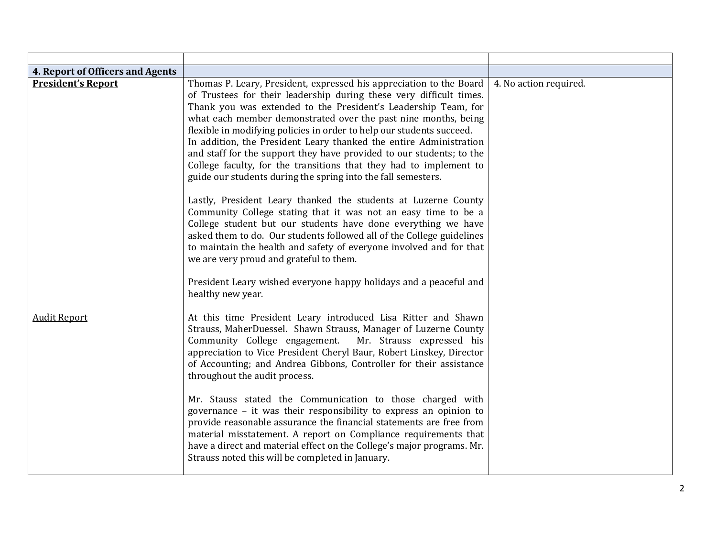| 4. Report of Officers and Agents<br><b>President's Report</b> | Thomas P. Leary, President, expressed his appreciation to the Board<br>of Trustees for their leadership during these very difficult times.<br>Thank you was extended to the President's Leadership Team, for<br>what each member demonstrated over the past nine months, being<br>flexible in modifying policies in order to help our students succeed.<br>In addition, the President Leary thanked the entire Administration<br>and staff for the support they have provided to our students; to the<br>College faculty, for the transitions that they had to implement to<br>guide our students during the spring into the fall semesters. | 4. No action required. |
|---------------------------------------------------------------|----------------------------------------------------------------------------------------------------------------------------------------------------------------------------------------------------------------------------------------------------------------------------------------------------------------------------------------------------------------------------------------------------------------------------------------------------------------------------------------------------------------------------------------------------------------------------------------------------------------------------------------------|------------------------|
|                                                               | Lastly, President Leary thanked the students at Luzerne County<br>Community College stating that it was not an easy time to be a<br>College student but our students have done everything we have<br>asked them to do. Our students followed all of the College guidelines<br>to maintain the health and safety of everyone involved and for that<br>we are very proud and grateful to them.<br>President Leary wished everyone happy holidays and a peaceful and<br>healthy new year.                                                                                                                                                       |                        |
| <b>Audit Report</b>                                           | At this time President Leary introduced Lisa Ritter and Shawn<br>Strauss, MaherDuessel. Shawn Strauss, Manager of Luzerne County<br>Community College engagement.<br>Mr. Strauss expressed his<br>appreciation to Vice President Cheryl Baur, Robert Linskey, Director<br>of Accounting; and Andrea Gibbons, Controller for their assistance<br>throughout the audit process.                                                                                                                                                                                                                                                                |                        |
|                                                               | Mr. Stauss stated the Communication to those charged with<br>governance - it was their responsibility to express an opinion to<br>provide reasonable assurance the financial statements are free from<br>material misstatement. A report on Compliance requirements that<br>have a direct and material effect on the College's major programs. Mr.<br>Strauss noted this will be completed in January.                                                                                                                                                                                                                                       |                        |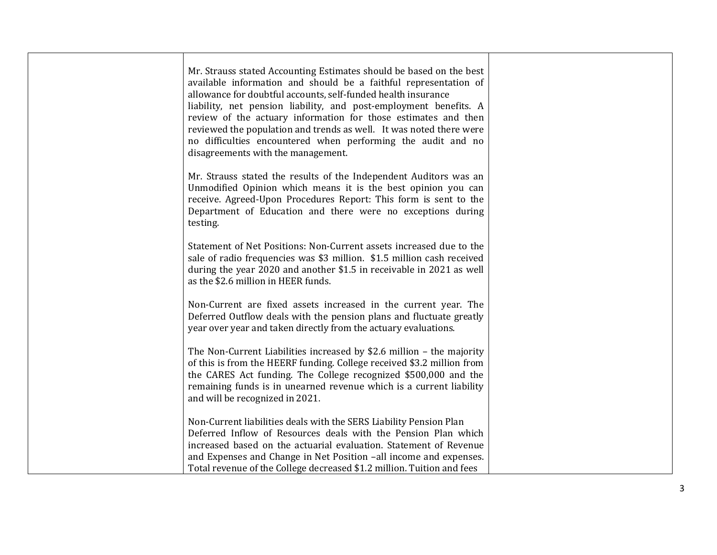| Mr. Strauss stated Accounting Estimates should be based on the best<br>available information and should be a faithful representation of<br>allowance for doubtful accounts, self-funded health insurance<br>liability, net pension liability, and post-employment benefits. A<br>review of the actuary information for those estimates and then<br>reviewed the population and trends as well. It was noted there were<br>no difficulties encountered when performing the audit and no<br>disagreements with the management. |  |
|------------------------------------------------------------------------------------------------------------------------------------------------------------------------------------------------------------------------------------------------------------------------------------------------------------------------------------------------------------------------------------------------------------------------------------------------------------------------------------------------------------------------------|--|
| Mr. Strauss stated the results of the Independent Auditors was an<br>Unmodified Opinion which means it is the best opinion you can<br>receive. Agreed-Upon Procedures Report: This form is sent to the<br>Department of Education and there were no exceptions during<br>testing.                                                                                                                                                                                                                                            |  |
| Statement of Net Positions: Non-Current assets increased due to the<br>sale of radio frequencies was \$3 million. \$1.5 million cash received<br>during the year 2020 and another \$1.5 in receivable in 2021 as well<br>as the \$2.6 million in HEER funds.                                                                                                                                                                                                                                                                 |  |
| Non-Current are fixed assets increased in the current year. The<br>Deferred Outflow deals with the pension plans and fluctuate greatly<br>year over year and taken directly from the actuary evaluations.                                                                                                                                                                                                                                                                                                                    |  |
| The Non-Current Liabilities increased by \$2.6 million - the majority<br>of this is from the HEERF funding. College received \$3.2 million from<br>the CARES Act funding. The College recognized \$500,000 and the<br>remaining funds is in unearned revenue which is a current liability<br>and will be recognized in 2021.                                                                                                                                                                                                 |  |
| Non-Current liabilities deals with the SERS Liability Pension Plan<br>Deferred Inflow of Resources deals with the Pension Plan which<br>increased based on the actuarial evaluation. Statement of Revenue<br>and Expenses and Change in Net Position -all income and expenses.<br>Total revenue of the College decreased \$1.2 million. Tuition and fees                                                                                                                                                                     |  |
|                                                                                                                                                                                                                                                                                                                                                                                                                                                                                                                              |  |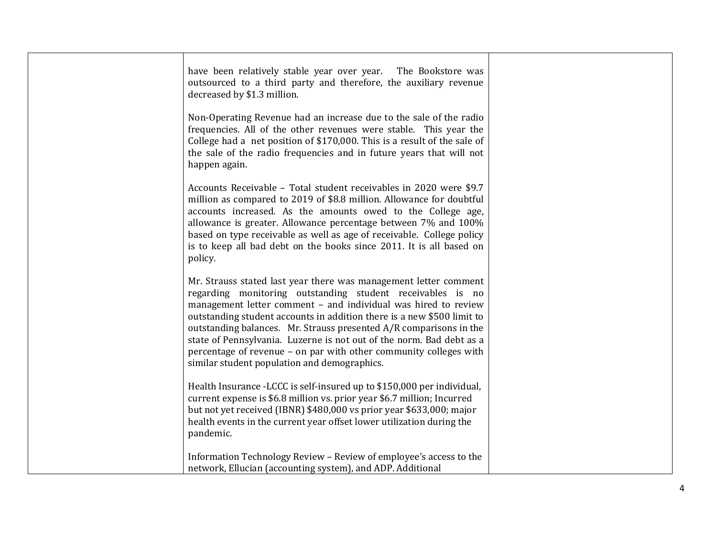| have been relatively stable year over year. The Bookstore was<br>outsourced to a third party and therefore, the auxiliary revenue<br>decreased by \$1.3 million.                                                                                                                                                                                                                                                                                                                                                                              |  |
|-----------------------------------------------------------------------------------------------------------------------------------------------------------------------------------------------------------------------------------------------------------------------------------------------------------------------------------------------------------------------------------------------------------------------------------------------------------------------------------------------------------------------------------------------|--|
| Non-Operating Revenue had an increase due to the sale of the radio<br>frequencies. All of the other revenues were stable. This year the<br>College had a net position of \$170,000. This is a result of the sale of<br>the sale of the radio frequencies and in future years that will not<br>happen again.                                                                                                                                                                                                                                   |  |
| Accounts Receivable - Total student receivables in 2020 were \$9.7<br>million as compared to 2019 of \$8.8 million. Allowance for doubtful<br>accounts increased. As the amounts owed to the College age,<br>allowance is greater. Allowance percentage between 7% and 100%<br>based on type receivable as well as age of receivable. College policy<br>is to keep all bad debt on the books since 2011. It is all based on<br>policy.                                                                                                        |  |
| Mr. Strauss stated last year there was management letter comment<br>regarding monitoring outstanding student receivables is no<br>management letter comment - and individual was hired to review<br>outstanding student accounts in addition there is a new \$500 limit to<br>outstanding balances. Mr. Strauss presented A/R comparisons in the<br>state of Pennsylvania. Luzerne is not out of the norm. Bad debt as a<br>percentage of revenue - on par with other community colleges with<br>similar student population and demographics. |  |
| Health Insurance -LCCC is self-insured up to \$150,000 per individual,<br>current expense is \$6.8 million vs. prior year \$6.7 million; Incurred<br>but not yet received (IBNR) \$480,000 vs prior year \$633,000; major<br>health events in the current year offset lower utilization during the<br>pandemic.                                                                                                                                                                                                                               |  |
| Information Technology Review - Review of employee's access to the<br>network, Ellucian (accounting system), and ADP. Additional                                                                                                                                                                                                                                                                                                                                                                                                              |  |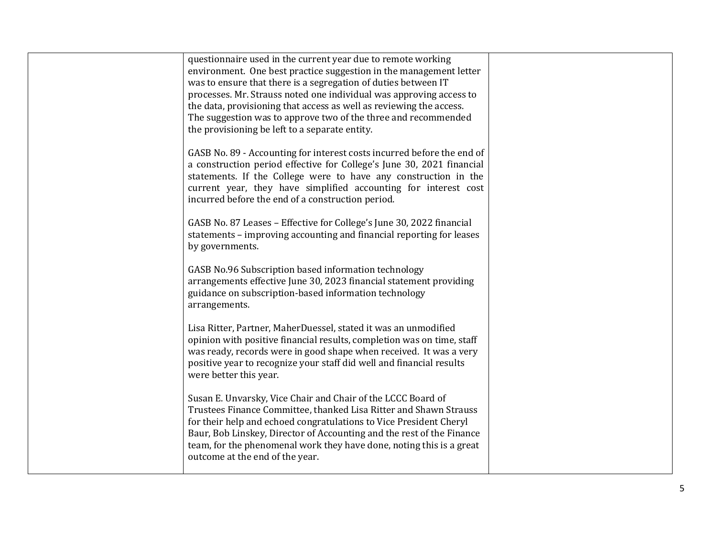| questionnaire used in the current year due to remote working<br>environment. One best practice suggestion in the management letter<br>was to ensure that there is a segregation of duties between IT<br>processes. Mr. Strauss noted one individual was approving access to<br>the data, provisioning that access as well as reviewing the access.<br>The suggestion was to approve two of the three and recommended<br>the provisioning be left to a separate entity. |  |
|------------------------------------------------------------------------------------------------------------------------------------------------------------------------------------------------------------------------------------------------------------------------------------------------------------------------------------------------------------------------------------------------------------------------------------------------------------------------|--|
| GASB No. 89 - Accounting for interest costs incurred before the end of<br>a construction period effective for College's June 30, 2021 financial<br>statements. If the College were to have any construction in the<br>current year, they have simplified accounting for interest cost<br>incurred before the end of a construction period.                                                                                                                             |  |
| GASB No. 87 Leases - Effective for College's June 30, 2022 financial<br>statements - improving accounting and financial reporting for leases<br>by governments.                                                                                                                                                                                                                                                                                                        |  |
| GASB No.96 Subscription based information technology<br>arrangements effective June 30, 2023 financial statement providing<br>guidance on subscription-based information technology<br>arrangements.                                                                                                                                                                                                                                                                   |  |
| Lisa Ritter, Partner, MaherDuessel, stated it was an unmodified<br>opinion with positive financial results, completion was on time, staff<br>was ready, records were in good shape when received. It was a very<br>positive year to recognize your staff did well and financial results<br>were better this year.                                                                                                                                                      |  |
| Susan E. Unvarsky, Vice Chair and Chair of the LCCC Board of<br>Trustees Finance Committee, thanked Lisa Ritter and Shawn Strauss<br>for their help and echoed congratulations to Vice President Cheryl<br>Baur, Bob Linskey, Director of Accounting and the rest of the Finance<br>team, for the phenomenal work they have done, noting this is a great<br>outcome at the end of the year.                                                                            |  |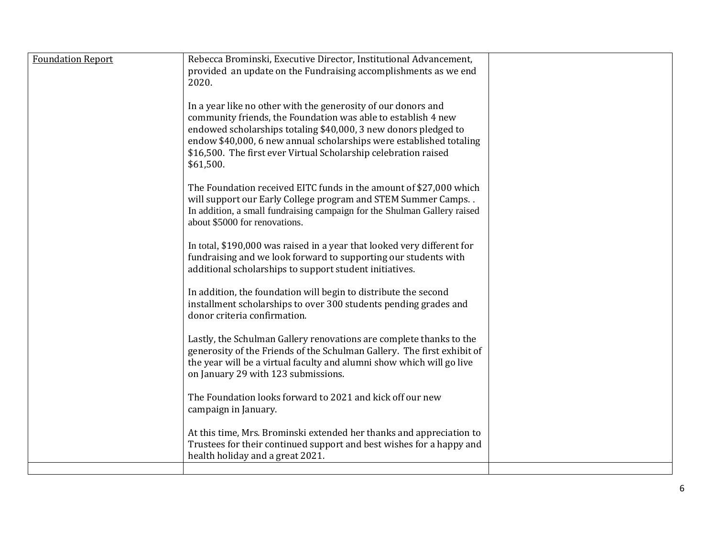| <b>Foundation Report</b> | Rebecca Brominski, Executive Director, Institutional Advancement,<br>provided an update on the Fundraising accomplishments as we end<br>2020.                                                                                                                                                                                                            |  |
|--------------------------|----------------------------------------------------------------------------------------------------------------------------------------------------------------------------------------------------------------------------------------------------------------------------------------------------------------------------------------------------------|--|
|                          | In a year like no other with the generosity of our donors and<br>community friends, the Foundation was able to establish 4 new<br>endowed scholarships totaling \$40,000, 3 new donors pledged to<br>endow \$40,000, 6 new annual scholarships were established totaling<br>\$16,500. The first ever Virtual Scholarship celebration raised<br>\$61,500. |  |
|                          | The Foundation received EITC funds in the amount of \$27,000 which<br>will support our Early College program and STEM Summer Camps. .<br>In addition, a small fundraising campaign for the Shulman Gallery raised<br>about \$5000 for renovations.                                                                                                       |  |
|                          | In total, \$190,000 was raised in a year that looked very different for<br>fundraising and we look forward to supporting our students with<br>additional scholarships to support student initiatives.                                                                                                                                                    |  |
|                          | In addition, the foundation will begin to distribute the second<br>installment scholarships to over 300 students pending grades and<br>donor criteria confirmation.                                                                                                                                                                                      |  |
|                          | Lastly, the Schulman Gallery renovations are complete thanks to the<br>generosity of the Friends of the Schulman Gallery. The first exhibit of<br>the year will be a virtual faculty and alumni show which will go live<br>on January 29 with 123 submissions.                                                                                           |  |
|                          | The Foundation looks forward to 2021 and kick off our new<br>campaign in January.                                                                                                                                                                                                                                                                        |  |
|                          | At this time, Mrs. Brominski extended her thanks and appreciation to<br>Trustees for their continued support and best wishes for a happy and<br>health holiday and a great 2021.                                                                                                                                                                         |  |
|                          |                                                                                                                                                                                                                                                                                                                                                          |  |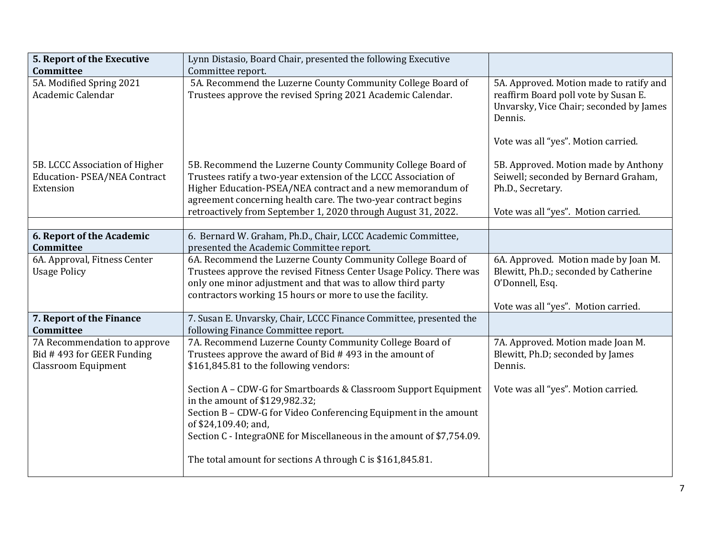| 5. Report of the Executive         | Lynn Distasio, Board Chair, presented the following Executive                                                                                                         |                                                                                            |
|------------------------------------|-----------------------------------------------------------------------------------------------------------------------------------------------------------------------|--------------------------------------------------------------------------------------------|
| Committee                          | Committee report.                                                                                                                                                     |                                                                                            |
| 5A. Modified Spring 2021           | 5A. Recommend the Luzerne County Community College Board of                                                                                                           | 5A. Approved. Motion made to ratify and                                                    |
| Academic Calendar                  | Trustees approve the revised Spring 2021 Academic Calendar.                                                                                                           | reaffirm Board poll vote by Susan E.<br>Unvarsky, Vice Chair; seconded by James<br>Dennis. |
|                                    |                                                                                                                                                                       | Vote was all "yes". Motion carried.                                                        |
| 5B. LCCC Association of Higher     | 5B. Recommend the Luzerne County Community College Board of                                                                                                           | 5B. Approved. Motion made by Anthony                                                       |
| <b>Education-PSEA/NEA Contract</b> | Trustees ratify a two-year extension of the LCCC Association of                                                                                                       | Seiwell; seconded by Bernard Graham,                                                       |
| Extension                          | Higher Education-PSEA/NEA contract and a new memorandum of                                                                                                            | Ph.D., Secretary.                                                                          |
|                                    | agreement concerning health care. The two-year contract begins                                                                                                        |                                                                                            |
|                                    | retroactively from September 1, 2020 through August 31, 2022.                                                                                                         | Vote was all "yes". Motion carried.                                                        |
| 6. Report of the Academic          | 6. Bernard W. Graham, Ph.D., Chair, LCCC Academic Committee,                                                                                                          |                                                                                            |
| Committee                          | presented the Academic Committee report.                                                                                                                              |                                                                                            |
| 6A. Approval, Fitness Center       | 6A. Recommend the Luzerne County Community College Board of                                                                                                           | 6A. Approved. Motion made by Joan M.                                                       |
| <b>Usage Policy</b>                | Trustees approve the revised Fitness Center Usage Policy. There was                                                                                                   | Blewitt, Ph.D.; seconded by Catherine                                                      |
|                                    | only one minor adjustment and that was to allow third party<br>contractors working 15 hours or more to use the facility.                                              | O'Donnell, Esq.                                                                            |
|                                    |                                                                                                                                                                       | Vote was all "yes". Motion carried.                                                        |
| 7. Report of the Finance           | 7. Susan E. Unvarsky, Chair, LCCC Finance Committee, presented the                                                                                                    |                                                                                            |
| <b>Committee</b>                   | following Finance Committee report.                                                                                                                                   |                                                                                            |
| 7A Recommendation to approve       | 7A. Recommend Luzerne County Community College Board of                                                                                                               | 7A. Approved. Motion made Joan M.                                                          |
| Bid #493 for GEER Funding          | Trustees approve the award of Bid #493 in the amount of                                                                                                               | Blewitt, Ph.D; seconded by James                                                           |
| <b>Classroom Equipment</b>         | \$161,845.81 to the following vendors:                                                                                                                                | Dennis.                                                                                    |
|                                    | Section A - CDW-G for Smartboards & Classroom Support Equipment<br>in the amount of \$129,982.32;<br>Section B - CDW-G for Video Conferencing Equipment in the amount | Vote was all "yes". Motion carried.                                                        |
|                                    | of \$24,109.40; and,                                                                                                                                                  |                                                                                            |
|                                    | Section C - IntegraONE for Miscellaneous in the amount of \$7,754.09.                                                                                                 |                                                                                            |
|                                    | The total amount for sections A through C is \$161,845.81.                                                                                                            |                                                                                            |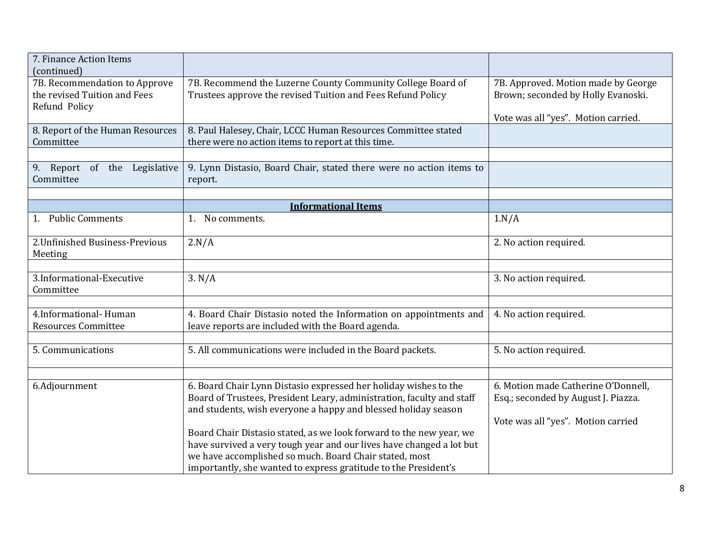| 7. Finance Action Items<br>(continued)                                         |                                                                                                                                                                                                                                                                                                                                                                                                                                                                                         |                                                                                                                  |
|--------------------------------------------------------------------------------|-----------------------------------------------------------------------------------------------------------------------------------------------------------------------------------------------------------------------------------------------------------------------------------------------------------------------------------------------------------------------------------------------------------------------------------------------------------------------------------------|------------------------------------------------------------------------------------------------------------------|
| 7B. Recommendation to Approve<br>the revised Tuition and Fees<br>Refund Policy | 7B. Recommend the Luzerne County Community College Board of<br>Trustees approve the revised Tuition and Fees Refund Policy                                                                                                                                                                                                                                                                                                                                                              | 7B. Approved. Motion made by George<br>Brown; seconded by Holly Evanoski.<br>Vote was all "yes". Motion carried. |
| 8. Report of the Human Resources<br>Committee                                  | 8. Paul Halesey, Chair, LCCC Human Resources Committee stated<br>there were no action items to report at this time.                                                                                                                                                                                                                                                                                                                                                                     |                                                                                                                  |
| 9. Report of the Legislative<br>Committee                                      | 9. Lynn Distasio, Board Chair, stated there were no action items to<br>report.                                                                                                                                                                                                                                                                                                                                                                                                          |                                                                                                                  |
|                                                                                | <b>Informational Items</b>                                                                                                                                                                                                                                                                                                                                                                                                                                                              |                                                                                                                  |
| 1. Public Comments                                                             | 1. No comments.                                                                                                                                                                                                                                                                                                                                                                                                                                                                         | 1.N/A                                                                                                            |
| 2. Unfinished Business-Previous<br>Meeting                                     | 2.N/A                                                                                                                                                                                                                                                                                                                                                                                                                                                                                   | 2. No action required.                                                                                           |
| 3.Informational-Executive<br>Committee                                         | 3. N/A                                                                                                                                                                                                                                                                                                                                                                                                                                                                                  | 3. No action required.                                                                                           |
| 4.Informational-Human<br><b>Resources Committee</b>                            | 4. Board Chair Distasio noted the Information on appointments and<br>leave reports are included with the Board agenda.                                                                                                                                                                                                                                                                                                                                                                  | 4. No action required.                                                                                           |
| 5. Communications                                                              | 5. All communications were included in the Board packets.                                                                                                                                                                                                                                                                                                                                                                                                                               | 5. No action required.                                                                                           |
| 6.Adjournment                                                                  | 6. Board Chair Lynn Distasio expressed her holiday wishes to the<br>Board of Trustees, President Leary, administration, faculty and staff<br>and students, wish everyone a happy and blessed holiday season<br>Board Chair Distasio stated, as we look forward to the new year, we<br>have survived a very tough year and our lives have changed a lot but<br>we have accomplished so much. Board Chair stated, most<br>importantly, she wanted to express gratitude to the President's | 6. Motion made Catherine O'Donnell,<br>Esq.; seconded by August J. Piazza.<br>Vote was all "yes". Motion carried |